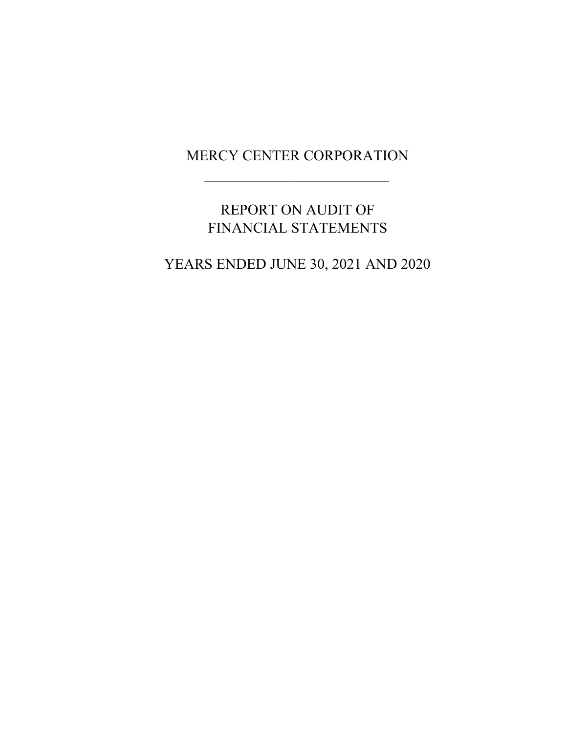$\mathcal{L}_\text{max}$  , where  $\mathcal{L}_\text{max}$  , we have the set of  $\mathcal{L}_\text{max}$ 

# REPORT ON AUDIT OF FINANCIAL STATEMENTS

YEARS ENDED JUNE 30, 2021 AND 2020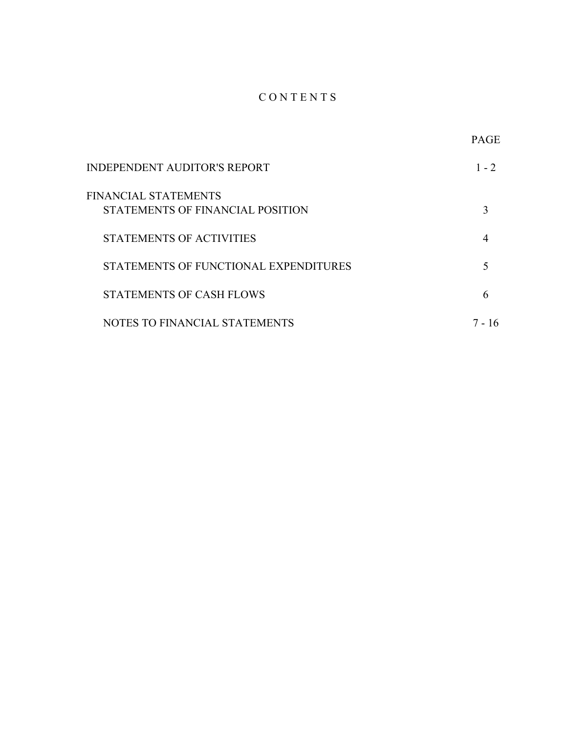## C O N T E N T S

|                                                                 | <b>PAGE</b> |
|-----------------------------------------------------------------|-------------|
| <b>INDEPENDENT AUDITOR'S REPORT</b>                             | $1 - 2$     |
| <b>FINANCIAL STATEMENTS</b><br>STATEMENTS OF FINANCIAL POSITION |             |
| <b>STATEMENTS OF ACTIVITIES</b>                                 | 4           |
| STATEMENTS OF FUNCTIONAL EXPENDITURES                           |             |
| <b>STATEMENTS OF CASH FLOWS</b>                                 |             |
| NOTES TO FINANCIAL STATEMENTS                                   | 16          |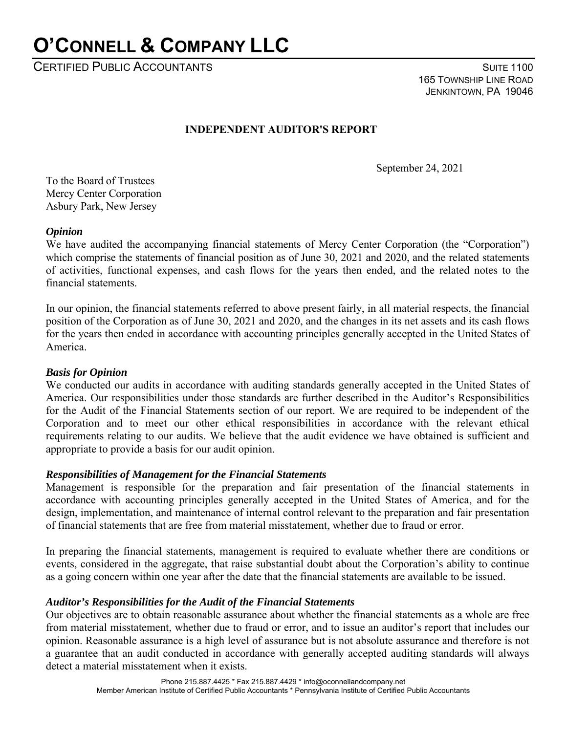# **O'CONNELL & COMPANY LLC**

CERTIFIED PUBLIC ACCOUNTANTS **SUITE 1100** 

 165 TOWNSHIP LINE ROAD JENKINTOWN, PA 19046

#### **INDEPENDENT AUDITOR'S REPORT**

September 24, 2021

To the Board of Trustees Mercy Center Corporation Asbury Park, New Jersey

#### *Opinion*

We have audited the accompanying financial statements of Mercy Center Corporation (the "Corporation") which comprise the statements of financial position as of June 30, 2021 and 2020, and the related statements of activities, functional expenses, and cash flows for the years then ended, and the related notes to the financial statements.

In our opinion, the financial statements referred to above present fairly, in all material respects, the financial position of the Corporation as of June 30, 2021 and 2020, and the changes in its net assets and its cash flows for the years then ended in accordance with accounting principles generally accepted in the United States of America.

#### *Basis for Opinion*

We conducted our audits in accordance with auditing standards generally accepted in the United States of America. Our responsibilities under those standards are further described in the Auditor's Responsibilities for the Audit of the Financial Statements section of our report. We are required to be independent of the Corporation and to meet our other ethical responsibilities in accordance with the relevant ethical requirements relating to our audits. We believe that the audit evidence we have obtained is sufficient and appropriate to provide a basis for our audit opinion.

#### *Responsibilities of Management for the Financial Statements*

Management is responsible for the preparation and fair presentation of the financial statements in accordance with accounting principles generally accepted in the United States of America, and for the design, implementation, and maintenance of internal control relevant to the preparation and fair presentation of financial statements that are free from material misstatement, whether due to fraud or error.

In preparing the financial statements, management is required to evaluate whether there are conditions or events, considered in the aggregate, that raise substantial doubt about the Corporation's ability to continue as a going concern within one year after the date that the financial statements are available to be issued.

#### *Auditor's Responsibilities for the Audit of the Financial Statements*

Our objectives are to obtain reasonable assurance about whether the financial statements as a whole are free from material misstatement, whether due to fraud or error, and to issue an auditor's report that includes our opinion. Reasonable assurance is a high level of assurance but is not absolute assurance and therefore is not a guarantee that an audit conducted in accordance with generally accepted auditing standards will always detect a material misstatement when it exists.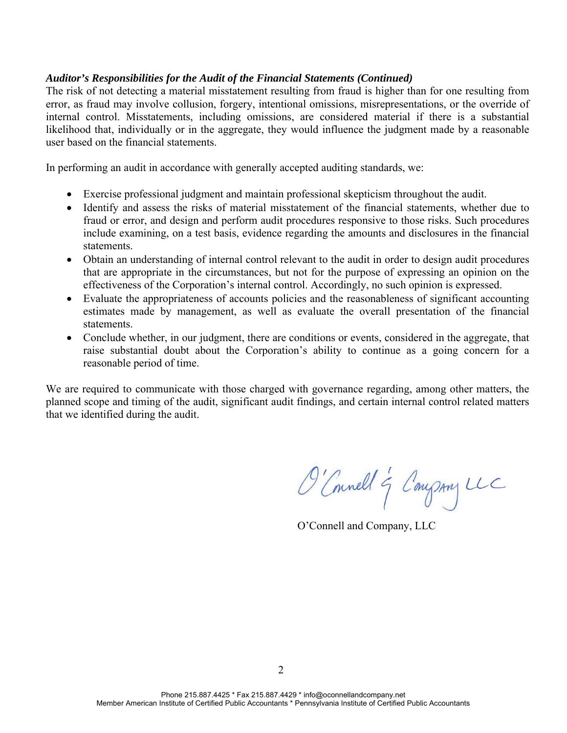#### *Auditor's Responsibilities for the Audit of the Financial Statements (Continued)*

The risk of not detecting a material misstatement resulting from fraud is higher than for one resulting from error, as fraud may involve collusion, forgery, intentional omissions, misrepresentations, or the override of internal control. Misstatements, including omissions, are considered material if there is a substantial likelihood that, individually or in the aggregate, they would influence the judgment made by a reasonable user based on the financial statements.

In performing an audit in accordance with generally accepted auditing standards, we:

- Exercise professional judgment and maintain professional skepticism throughout the audit.
- Identify and assess the risks of material misstatement of the financial statements, whether due to fraud or error, and design and perform audit procedures responsive to those risks. Such procedures include examining, on a test basis, evidence regarding the amounts and disclosures in the financial statements.
- Obtain an understanding of internal control relevant to the audit in order to design audit procedures that are appropriate in the circumstances, but not for the purpose of expressing an opinion on the effectiveness of the Corporation's internal control. Accordingly, no such opinion is expressed.
- Evaluate the appropriateness of accounts policies and the reasonableness of significant accounting estimates made by management, as well as evaluate the overall presentation of the financial statements.
- Conclude whether, in our judgment, there are conditions or events, considered in the aggregate, that raise substantial doubt about the Corporation's ability to continue as a going concern for a reasonable period of time.

We are required to communicate with those charged with governance regarding, among other matters, the planned scope and timing of the audit, significant audit findings, and certain internal control related matters that we identified during the audit.

O'Connell q Company LC

O'Connell and Company, LLC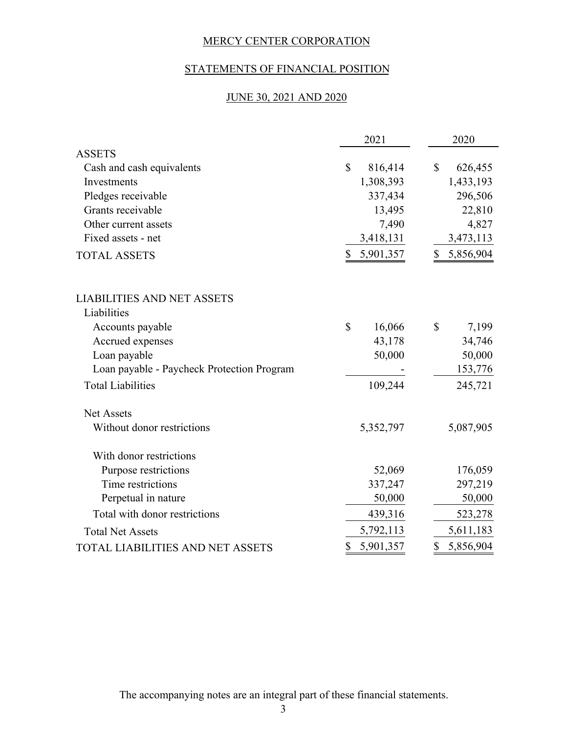#### STATEMENTS OF FINANCIAL POSITION

#### JUNE 30, 2021 AND 2020

|                                            | 2021                      | 2020            |
|--------------------------------------------|---------------------------|-----------------|
| <b>ASSETS</b>                              |                           |                 |
| Cash and cash equivalents                  | $\mathbb{S}$<br>816,414   | \$<br>626,455   |
| Investments                                | 1,308,393                 | 1,433,193       |
| Pledges receivable                         | 337,434                   | 296,506         |
| Grants receivable                          | 13,495                    | 22,810          |
| Other current assets                       | 7,490                     | 4,827           |
| Fixed assets - net                         | 3,418,131                 | 3,473,113       |
| <b>TOTAL ASSETS</b>                        | 5,901,357<br>$\mathbb{S}$ | 5,856,904<br>\$ |
| <b>LIABILITIES AND NET ASSETS</b>          |                           |                 |
| Liabilities                                |                           |                 |
| Accounts payable                           | $\mathbb{S}$<br>16,066    | \$<br>7,199     |
| Accrued expenses                           | 43,178                    | 34,746          |
| Loan payable                               | 50,000                    | 50,000          |
| Loan payable - Paycheck Protection Program |                           | 153,776         |
| <b>Total Liabilities</b>                   | 109,244                   | 245,721         |
| <b>Net Assets</b>                          |                           |                 |
| Without donor restrictions                 | 5,352,797                 | 5,087,905       |
| With donor restrictions                    |                           |                 |
| Purpose restrictions                       | 52,069                    | 176,059         |
| Time restrictions                          | 337,247                   | 297,219         |
| Perpetual in nature                        | 50,000                    | 50,000          |
| Total with donor restrictions              | 439,316                   | 523,278         |
| <b>Total Net Assets</b>                    | 5,792,113                 | 5,611,183       |
| TOTAL LIABILITIES AND NET ASSETS           | 5,901,357<br>\$           | 5,856,904<br>\$ |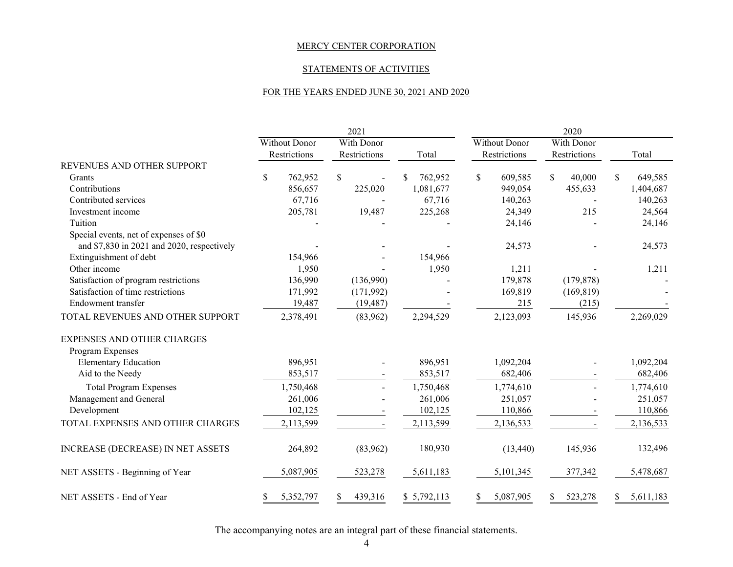#### STATEMENTS OF ACTIVITIES

#### FOR THE YEARS ENDED JUNE 30, 2021 AND 2020

|                                            | 2021                 |         |            |              | 2020        |               |              |               |              |    |           |  |
|--------------------------------------------|----------------------|---------|------------|--------------|-------------|---------------|--------------|---------------|--------------|----|-----------|--|
|                                            | <b>Without Donor</b> |         | With Donor |              |             | Without Donor |              |               | With Donor   |    |           |  |
|                                            | Restrictions         |         |            | Restrictions | Total       |               | Restrictions |               | Restrictions |    | Total     |  |
| REVENUES AND OTHER SUPPORT                 |                      |         |            |              |             |               |              |               |              |    |           |  |
| Grants                                     | \$                   | 762,952 | \$         |              | 762,952     | \$            | 609,585      | <sup>\$</sup> | 40,000       | S. | 649,585   |  |
| Contributions                              |                      | 856,657 |            | 225,020      | 1,081,677   |               | 949,054      |               | 455,633      |    | 1,404,687 |  |
| Contributed services                       |                      | 67,716  |            |              | 67,716      |               | 140,263      |               |              |    | 140,263   |  |
| Investment income                          |                      | 205,781 |            | 19,487       | 225,268     |               | 24,349       |               | 215          |    | 24,564    |  |
| Tuition                                    |                      |         |            |              |             |               | 24,146       |               |              |    | 24,146    |  |
| Special events, net of expenses of \$0     |                      |         |            |              |             |               |              |               |              |    |           |  |
| and \$7,830 in 2021 and 2020, respectively |                      |         |            |              |             |               | 24,573       |               |              |    | 24,573    |  |
| Extinguishment of debt                     |                      | 154,966 |            |              | 154,966     |               |              |               |              |    |           |  |
| Other income                               |                      | 1,950   |            |              | 1,950       |               | 1,211        |               |              |    | 1,211     |  |
| Satisfaction of program restrictions       |                      | 136,990 |            | (136,990)    |             |               | 179,878      |               | (179, 878)   |    |           |  |
| Satisfaction of time restrictions          |                      | 171,992 |            | (171,992)    |             |               | 169,819      |               | (169, 819)   |    |           |  |
| Endowment transfer                         |                      | 19,487  |            | (19, 487)    |             |               | 215          |               | (215)        |    |           |  |
| TOTAL REVENUES AND OTHER SUPPORT           | 2,378,491            |         |            | (83,962)     | 2,294,529   |               | 2,123,093    |               | 145,936      |    | 2,269,029 |  |
| <b>EXPENSES AND OTHER CHARGES</b>          |                      |         |            |              |             |               |              |               |              |    |           |  |
| Program Expenses                           |                      |         |            |              |             |               |              |               |              |    |           |  |
| <b>Elementary Education</b>                |                      | 896,951 |            |              | 896,951     |               | 1,092,204    |               |              |    | 1,092,204 |  |
| Aid to the Needy                           |                      | 853,517 |            |              | 853,517     |               | 682,406      |               |              |    | 682,406   |  |
| <b>Total Program Expenses</b>              | 1,750,468            |         |            |              | 1,750,468   |               | 1,774,610    |               |              |    | 1,774,610 |  |
| Management and General                     |                      | 261,006 |            |              | 261,006     |               | 251,057      |               |              |    | 251,057   |  |
| Development                                |                      | 102,125 |            |              | 102,125     |               | 110,866      |               |              |    | 110,866   |  |
| TOTAL EXPENSES AND OTHER CHARGES           | 2,113,599            |         |            |              | 2,113,599   |               | 2,136,533    |               |              |    | 2,136,533 |  |
| <b>INCREASE (DECREASE) IN NET ASSETS</b>   |                      | 264,892 |            | (83,962)     | 180,930     |               | (13, 440)    |               | 145,936      |    | 132,496   |  |
| NET ASSETS - Beginning of Year             | 5,087,905            |         |            | 523,278      | 5,611,183   |               | 5,101,345    |               | 377,342      |    | 5,478,687 |  |
| NET ASSETS - End of Year                   | 5,352,797            |         | \$         | 439,316      | \$5,792,113 | S.            | 5,087,905    | S.            | 523,278      | S. | 5,611,183 |  |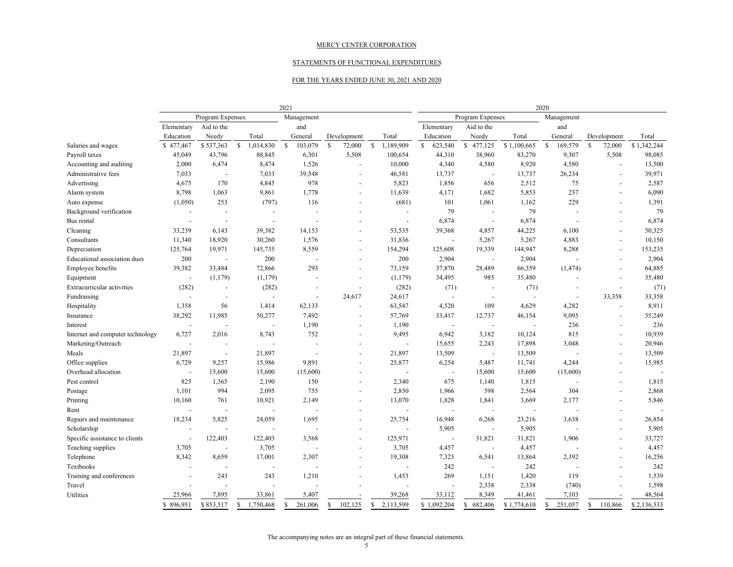#### STATEMENTS OF FUNCTIONAL EXPENDITURES

#### FOR THE YEARS ENDED JUNE 30, 2021 AND 2020

|                                  | 2021                     |                          |                          |          |                          | 2020          |                          |               |                |              |                          |                          |                          |    |                          |              |                          |             |
|----------------------------------|--------------------------|--------------------------|--------------------------|----------|--------------------------|---------------|--------------------------|---------------|----------------|--------------|--------------------------|--------------------------|--------------------------|----|--------------------------|--------------|--------------------------|-------------|
|                                  |                          | Program Expenses         |                          |          | Management               |               |                          |               |                |              |                          | Program Expenses         |                          |    | Management               |              |                          |             |
|                                  | Elementary               | Aid to the               |                          |          | and                      |               |                          |               |                |              | Elementary               | Aid to the               |                          |    | and                      |              |                          |             |
|                                  | Education                | Needy                    | Total                    |          | General                  |               | Development              |               | Total          |              | Education                | Needy                    | Total                    |    | General                  |              | Development              | Total       |
| Salaries and wages               | \$477,467                | \$537,363                | $\mathbf S$<br>1,014,830 |          | $\mathbf S$<br>103,079   | <sup>\$</sup> | 72,000                   | <sup>\$</sup> | 1,189,909      | $\mathbb{S}$ | 623,540                  | $\mathbb{S}$<br>477,125  | \$1,100,665              | -S | 169,579                  | $\mathbb{S}$ | 72,000                   | \$1,342,244 |
| Payroll taxes                    | 45,049                   | 43,796                   |                          | 88,845   | 6,301                    |               | 5,508                    |               | 100,654        |              | 44,310                   | 38,960                   | 83,270                   |    | 9,307                    |              | 5,508                    | 98,085      |
| Accounting and auditing          | 2,000                    | 6,474                    |                          | 8,474    | 1,526                    |               | $\overline{a}$           |               | 10,000         |              | 4,340                    | 4,580                    | 8,920                    |    | 4,580                    |              | $\overline{a}$           | 13,500      |
| Administrative fees              | 7,033                    | ÷,                       |                          | 7,033    | 39,548                   |               |                          |               | 46,581         |              | 13,737                   | $\blacksquare$           | 13,737                   |    | 26,234                   |              | ÷,                       | 39,971      |
| Advertising                      | 4,675                    | 170                      |                          | 4,845    | 978                      |               | $\overline{a}$           |               | 5,823          |              | 1,856                    | 656                      | 2,512                    |    | 75                       |              | ÷,                       | 2,587       |
| Alarm system                     | 8,798                    | 1,063                    |                          | 9,861    | 1,778                    |               |                          |               | 11,639         |              | 4,171                    | 1,682                    | 5,853                    |    | 237                      |              | ÷,                       | 6,090       |
| Auto expense                     | (1,050)                  | 253                      |                          | (797)    | 116                      |               |                          |               | (681)          |              | 101                      | 1,061                    | 1,162                    |    | 229                      |              |                          | 1,391       |
| Background verification          | $\overline{a}$           |                          |                          |          |                          |               |                          |               | $\overline{a}$ |              | 79                       | ÷.                       | 79                       |    |                          |              | ÷,                       | 79          |
| Bus rental                       | $\sim$                   |                          |                          |          |                          |               |                          |               | ÷,             |              | 6,874                    | $\sim$                   | 6,874                    |    |                          |              | ÷,                       | 6,874       |
| Cleaning                         | 33,239                   | 6,143                    |                          | 39,382   | 14,153                   |               |                          |               | 53,535         |              | 39,368                   | 4,857                    | 44,225                   |    | 6,100                    |              | ÷,                       | 50,325      |
| Consultants                      | 11,340                   | 18,920                   |                          | 30,260   | 1,576                    |               |                          |               | 31,836         |              |                          | 5,267                    | 5,267                    |    | 4,883                    |              | $\overline{\phantom{a}}$ | 10,150      |
| Depreciation                     | 125,764                  | 19,971                   | 145,735                  |          | 8,559                    |               |                          |               | 154,294        |              | 125,608                  | 19,339                   | 144,947                  |    | 8,288                    |              | $\blacksquare$           | 153,235     |
| Educational association dues     | 200                      | ÷,                       |                          | 200      |                          |               |                          |               | 200            |              | 2,904                    | $\sim$                   | 2,904                    |    |                          |              | $\overline{a}$           | 2,904       |
| Employee benefits                | 39,382                   | 33,484                   |                          | 72,866   | 293                      |               |                          |               | 73,159         |              | 37,870                   | 28,489                   | 66,359                   |    | (1, 474)                 |              | $\overline{a}$           | 64,885      |
| Equipment                        | ÷,                       | (1,179)                  |                          | (1, 179) | L.                       |               | $\overline{\phantom{a}}$ |               | (1,179)        |              | 34,495                   | 985                      | 35,480                   |    |                          |              | ÷,                       | 35,480      |
| Extracurricular activities       | (282)                    | $\sim$                   |                          | (282)    | L.                       |               |                          |               | (282)          |              | (71)                     | $\sim$                   | (71)                     |    |                          |              | $\overline{a}$           | (71)        |
| Fundraising                      | ÷,                       | $\overline{\phantom{a}}$ |                          |          | $\overline{\phantom{a}}$ |               | 24,617                   |               | 24,617         |              | ÷.                       | $\overline{\phantom{a}}$ |                          |    | $\overline{\phantom{a}}$ |              | 33,358                   | 33,358      |
| Hospitality                      | 1,358                    | 56                       |                          | 1,414    | 62,133                   |               |                          |               | 63,547         |              | 4,520                    | 109                      | 4,629                    |    | 4,282                    |              | $\overline{a}$           | 8,911       |
| Insurance                        | 38,292                   | 11,985                   |                          | 50,277   | 7,492                    |               |                          |               | 57,769         |              | 33,417                   | 12,737                   | 46,154                   |    | 9,095                    |              |                          | 55,249      |
| Interest                         | $\bar{\phantom{a}}$      |                          |                          |          | 1,190                    |               |                          |               | 1,190          |              | $\overline{\phantom{a}}$ | $\sim$                   | $\overline{\phantom{a}}$ |    | 236                      |              | $\blacksquare$           | 236         |
| Internet and computer technology | 6,727                    | 2,016                    |                          | 8,743    | 752                      |               |                          |               | 9,495          |              | 6,942                    | 3,182                    | 10,124                   |    | 815                      |              | $\blacksquare$           | 10,939      |
| Marketing/Outreach               | $\blacksquare$           | ÷,                       |                          |          | L.                       |               |                          |               | $\blacksquare$ |              | 15,655                   | 2,243                    | 17,898                   |    | 3,048                    |              | $\blacksquare$           | 20,946      |
| Meals                            | 21,897                   | $\overline{\phantom{a}}$ |                          | 21,897   | L.                       |               |                          |               | 21,897         |              | 13,509                   | $\sim$                   | 13,509                   |    |                          |              | $\overline{a}$           | 13,509      |
| Office supplies                  | 6,729                    | 9,257                    |                          | 15,986   | 9,891                    |               | $\overline{a}$           |               | 25,877         |              | 6,254                    | 5,487                    | 11,741                   |    | 4,244                    |              | $\blacksquare$           | 15,985      |
| Overhead allocation              | $\overline{\phantom{a}}$ | 15,600                   |                          | 15,600   | (15,600)                 |               |                          |               |                |              |                          | 15,600                   | 15,600                   |    | (15,600)                 |              |                          |             |
| Pest control                     | 825                      | 1,365                    |                          | 2,190    | 150                      |               | $\overline{\phantom{a}}$ |               | 2,340          |              | 675                      | 1,140                    | 1,815                    |    |                          |              | $\overline{\phantom{a}}$ | 1,815       |
| Postage                          | 1,101                    | 994                      |                          | 2,095    | 755                      |               |                          |               | 2,850          |              | 1,966                    | 598                      | 2,564                    |    | 304                      |              |                          | 2,868       |
| Printing                         | 10,160                   | 761                      |                          | 10,921   | 2,149                    |               |                          |               | 13,070         |              | 1,828                    | 1,841                    | 3,669                    |    | 2,177                    |              | $\overline{\phantom{a}}$ | 5,846       |
| Rent                             | ÷,                       | ÷,                       |                          |          | ÷,                       |               | $\overline{\phantom{a}}$ |               | ÷,             |              | $\sim$                   | $\sim$                   | $\sim$                   |    |                          |              | $\overline{\phantom{a}}$ |             |
| Repairs and maintenance          | 18,234                   | 5,825                    |                          | 24,059   | 1,695                    |               |                          |               | 25,754         |              | 16,948                   | 6,268                    | 23,216                   |    | 3,638                    |              | $\blacksquare$           | 26,854      |
| Scholarship                      |                          |                          |                          |          |                          |               |                          |               |                |              | 5,905                    |                          | 5,905                    |    |                          |              |                          | 5,905       |
| Specific assistance to clients   | $\overline{\phantom{a}}$ | 122,403                  | 122,403                  |          | 3,568                    |               |                          |               | 125,971        |              | $\overline{\phantom{a}}$ | 31,821                   | 31,821                   |    | 1,906                    |              | $\blacksquare$           | 33,727      |
| Teaching supplies                | 3,705                    |                          |                          | 3,705    |                          |               |                          |               | 3,705          |              | 4,457                    | $\overline{\phantom{a}}$ | 4,457                    |    |                          |              | $\blacksquare$           | 4,457       |
| Telephone                        | 8,342                    | 8,659                    |                          | 17,001   | 2,307                    |               |                          |               | 19,308         |              | 7,323                    | 6,541                    | 13,864                   |    | 2,392                    |              |                          | 16,256      |
| Textbooks                        |                          |                          |                          |          |                          |               |                          |               | ÷,             |              | 242                      | $\sim$                   | 242                      |    | $\sim$                   |              |                          | 242         |
| Training and conferences         | ÷,                       | 243                      |                          | 243      | 1,210                    |               |                          |               | 1,453          |              | 269                      | 1,151                    | 1,420                    |    | 119                      |              |                          | 1,539       |
| Travel                           |                          |                          |                          |          |                          |               |                          |               |                |              |                          | 2,338                    | 2,338                    |    | (740)                    |              |                          | 1,598       |
| Utilities                        | 25,966                   | 7,895                    |                          | 33,861   | 5,407                    |               |                          |               | 39,268         |              | 33,112                   | 8,349                    | 41,461                   |    | 7,103                    |              |                          | 48,564      |
|                                  | \$896,951                | \$853,517                | S<br>1,750,468           |          | 261,006<br>S             | S.            | 102,125                  | <sup>\$</sup> | 2,113,599      |              | \$1,092,204              | S.<br>682,406            | \$1,774,610              | \$ | 251,057                  | \$           | 110,866                  | \$2,136,533 |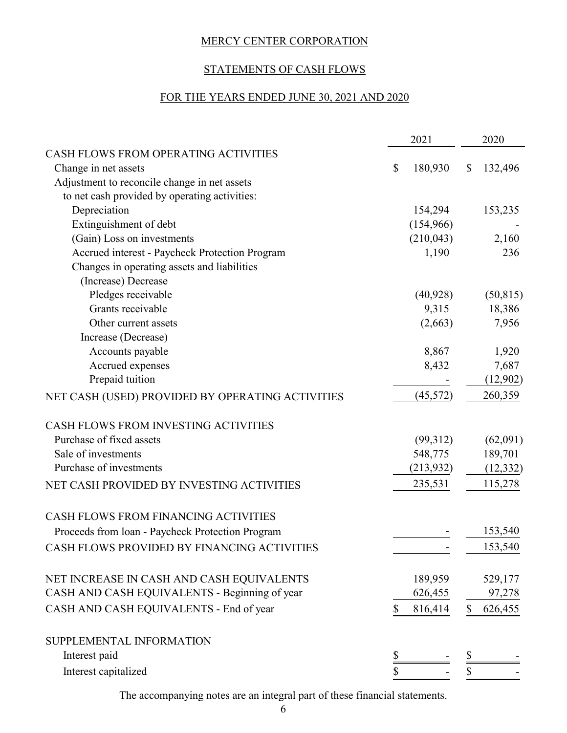#### STATEMENTS OF CASH FLOWS

## FOR THE YEARS ENDED JUNE 30, 2021 AND 2020

|                                                  | 2021          |              | 2020      |
|--------------------------------------------------|---------------|--------------|-----------|
| CASH FLOWS FROM OPERATING ACTIVITIES             |               |              |           |
| Change in net assets                             | \$<br>180,930 | \$           | 132,496   |
| Adjustment to reconcile change in net assets     |               |              |           |
| to net cash provided by operating activities:    |               |              |           |
| Depreciation                                     | 154,294       |              | 153,235   |
| Extinguishment of debt                           | (154,966)     |              |           |
| (Gain) Loss on investments                       | (210, 043)    |              | 2,160     |
| Accrued interest - Paycheck Protection Program   | 1,190         |              | 236       |
| Changes in operating assets and liabilities      |               |              |           |
| (Increase) Decrease                              |               |              |           |
| Pledges receivable                               | (40, 928)     |              | (50, 815) |
| Grants receivable                                | 9,315         |              | 18,386    |
| Other current assets                             | (2,663)       |              | 7,956     |
| Increase (Decrease)                              |               |              |           |
| Accounts payable                                 | 8,867         |              | 1,920     |
| Accrued expenses                                 | 8,432         |              | 7,687     |
| Prepaid tuition                                  |               |              | (12,902)  |
| NET CASH (USED) PROVIDED BY OPERATING ACTIVITIES | (45, 572)     |              | 260,359   |
| CASH FLOWS FROM INVESTING ACTIVITIES             |               |              |           |
| Purchase of fixed assets                         | (99,312)      |              | (62,091)  |
| Sale of investments                              | 548,775       |              | 189,701   |
| Purchase of investments                          | (213, 932)    |              | (12, 332) |
| NET CASH PROVIDED BY INVESTING ACTIVITIES        | 235,531       |              | 115,278   |
| CASH FLOWS FROM FINANCING ACTIVITIES             |               |              |           |
| Proceeds from loan - Paycheck Protection Program |               |              | 153,540   |
| CASH FLOWS PROVIDED BY FINANCING ACTIVITIES      |               |              | 153,540   |
|                                                  |               |              |           |
| NET INCREASE IN CASH AND CASH EQUIVALENTS        | 189,959       |              | 529,177   |
| CASH AND CASH EQUIVALENTS - Beginning of year    | 626,455       |              | 97,278    |
| CASH AND CASH EQUIVALENTS - End of year          | 816,414       | $\mathbb{S}$ | 626,455   |
| SUPPLEMENTAL INFORMATION                         |               |              |           |
| Interest paid                                    | \$            | \$           |           |
| Interest capitalized                             | \$            |              |           |
|                                                  |               |              |           |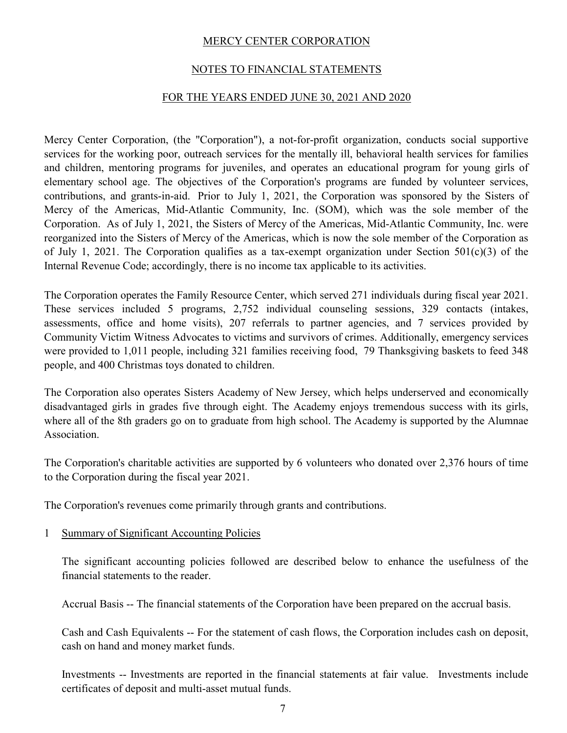#### NOTES TO FINANCIAL STATEMENTS

#### FOR THE YEARS ENDED JUNE 30, 2021 AND 2020

Mercy Center Corporation, (the "Corporation"), a not-for-profit organization, conducts social supportive services for the working poor, outreach services for the mentally ill, behavioral health services for families and children, mentoring programs for juveniles, and operates an educational program for young girls of elementary school age. The objectives of the Corporation's programs are funded by volunteer services, contributions, and grants-in-aid. Prior to July 1, 2021, the Corporation was sponsored by the Sisters of Mercy of the Americas, Mid-Atlantic Community, Inc. (SOM), which was the sole member of the Corporation. As of July 1, 2021, the Sisters of Mercy of the Americas, Mid-Atlantic Community, Inc. were reorganized into the Sisters of Mercy of the Americas, which is now the sole member of the Corporation as of July 1, 2021. The Corporation qualifies as a tax-exempt organization under Section 501(c)(3) of the Internal Revenue Code; accordingly, there is no income tax applicable to its activities.

The Corporation operates the Family Resource Center, which served 271 individuals during fiscal year 2021. These services included 5 programs, 2,752 individual counseling sessions, 329 contacts (intakes, assessments, office and home visits), 207 referrals to partner agencies, and 7 services provided by Community Victim Witness Advocates to victims and survivors of crimes. Additionally, emergency services were provided to 1,011 people, including 321 families receiving food, 79 Thanksgiving baskets to feed 348 people, and 400 Christmas toys donated to children.

The Corporation also operates Sisters Academy of New Jersey, which helps underserved and economically disadvantaged girls in grades five through eight. The Academy enjoys tremendous success with its girls, where all of the 8th graders go on to graduate from high school. The Academy is supported by the Alumnae Association.

The Corporation's charitable activities are supported by 6 volunteers who donated over 2,376 hours of time to the Corporation during the fiscal year 2021.

The Corporation's revenues come primarily through grants and contributions.

#### 1 Summary of Significant Accounting Policies

The significant accounting policies followed are described below to enhance the usefulness of the financial statements to the reader.

Accrual Basis -- The financial statements of the Corporation have been prepared on the accrual basis.

Cash and Cash Equivalents -- For the statement of cash flows, the Corporation includes cash on deposit, cash on hand and money market funds.

Investments -- Investments are reported in the financial statements at fair value. Investments include certificates of deposit and multi-asset mutual funds.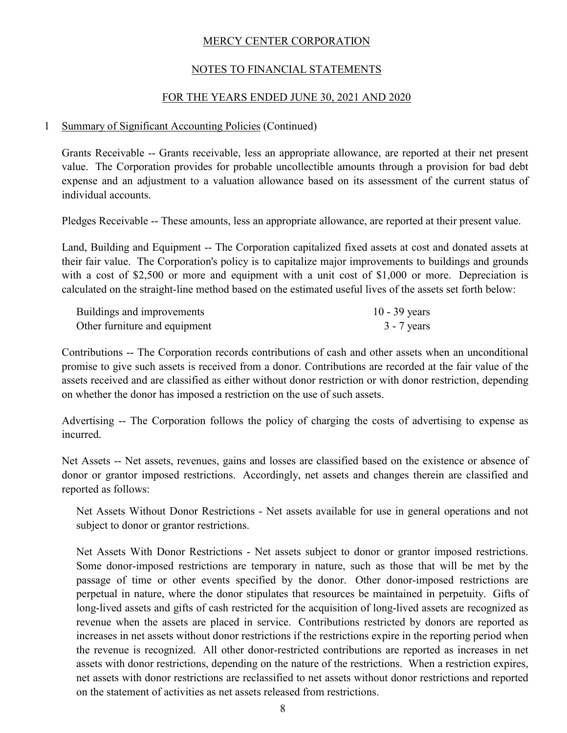#### NOTES TO FINANCIAL STATEMENTS

#### FOR THE YEARS ENDED JUNE 30, 2021 AND 2020

#### 1 Summary of Significant Accounting Policies (Continued)

Grants Receivable -- Grants receivable, less an appropriate allowance, are reported at their net present value. The Corporation provides for probable uncollectible amounts through a provision for bad debt expense and an adjustment to a valuation allowance based on its assessment of the current status of individual accounts.

Pledges Receivable -- These amounts, less an appropriate allowance, are reported at their present value.

Land, Building and Equipment -- The Corporation capitalized fixed assets at cost and donated assets at their fair value. The Corporation's policy is to capitalize major improvements to buildings and grounds with a cost of \$2,500 or more and equipment with a unit cost of \$1,000 or more. Depreciation is calculated on the straight-line method based on the estimated useful lives of the assets set forth below:

| Buildings and improvements    | $10 - 39$ years |
|-------------------------------|-----------------|
| Other furniture and equipment | $3 - 7$ years   |

Contributions -- The Corporation records contributions of cash and other assets when an unconditional promise to give such assets is received from a donor. Contributions are recorded at the fair value of the assets received and are classified as either without donor restriction or with donor restriction, depending on whether the donor has imposed a restriction on the use of such assets.

Advertising -- The Corporation follows the policy of charging the costs of advertising to expense as incurred.

Net Assets -- Net assets, revenues, gains and losses are classified based on the existence or absence of donor or grantor imposed restrictions. Accordingly, net assets and changes therein are classified and reported as follows:

Net Assets Without Donor Restrictions - Net assets available for use in general operations and not subject to donor or grantor restrictions.

Net Assets With Donor Restrictions - Net assets subject to donor or grantor imposed restrictions. Some donor-imposed restrictions are temporary in nature, such as those that will be met by the passage of time or other events specified by the donor. Other donor-imposed restrictions are perpetual in nature, where the donor stipulates that resources be maintained in perpetuity. Gifts of long-lived assets and gifts of cash restricted for the acquisition of long-lived assets are recognized as revenue when the assets are placed in service. Contributions restricted by donors are reported as increases in net assets without donor restrictions if the restrictions expire in the reporting period when the revenue is recognized. All other donor-restricted contributions are reported as increases in net assets with donor restrictions, depending on the nature of the restrictions. When a restriction expires, net assets with donor restrictions are reclassified to net assets without donor restrictions and reported on the statement of activities as net assets released from restrictions.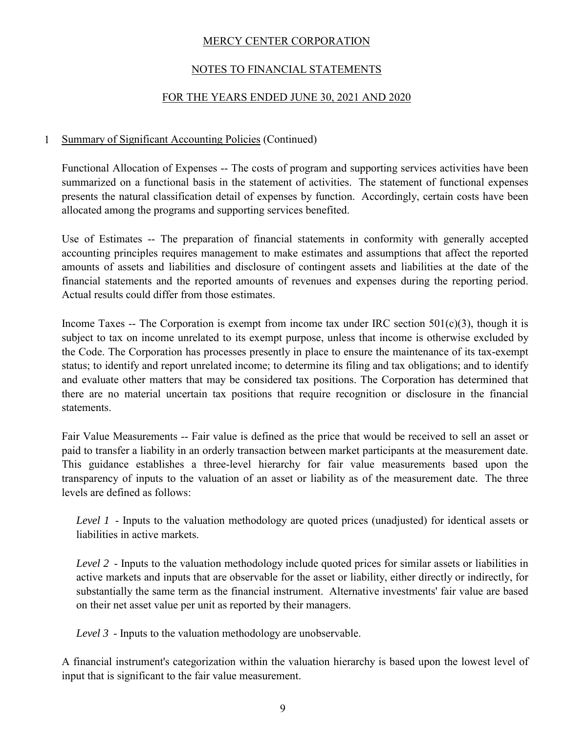## NOTES TO FINANCIAL STATEMENTS

#### FOR THE YEARS ENDED JUNE 30, 2021 AND 2020

#### 1 Summary of Significant Accounting Policies (Continued)

Functional Allocation of Expenses -- The costs of program and supporting services activities have been summarized on a functional basis in the statement of activities. The statement of functional expenses presents the natural classification detail of expenses by function. Accordingly, certain costs have been allocated among the programs and supporting services benefited.

Use of Estimates -- The preparation of financial statements in conformity with generally accepted accounting principles requires management to make estimates and assumptions that affect the reported amounts of assets and liabilities and disclosure of contingent assets and liabilities at the date of the financial statements and the reported amounts of revenues and expenses during the reporting period. Actual results could differ from those estimates.

Income Taxes -- The Corporation is exempt from income tax under IRC section  $501(c)(3)$ , though it is subject to tax on income unrelated to its exempt purpose, unless that income is otherwise excluded by the Code. The Corporation has processes presently in place to ensure the maintenance of its tax-exempt status; to identify and report unrelated income; to determine its filing and tax obligations; and to identify and evaluate other matters that may be considered tax positions. The Corporation has determined that there are no material uncertain tax positions that require recognition or disclosure in the financial statements.

Fair Value Measurements -- Fair value is defined as the price that would be received to sell an asset or paid to transfer a liability in an orderly transaction between market participants at the measurement date. This guidance establishes a three-level hierarchy for fair value measurements based upon the transparency of inputs to the valuation of an asset or liability as of the measurement date. The three levels are defined as follows:

*Level 1* - Inputs to the valuation methodology are quoted prices (unadjusted) for identical assets or liabilities in active markets.

*Level 2* - Inputs to the valuation methodology include quoted prices for similar assets or liabilities in active markets and inputs that are observable for the asset or liability, either directly or indirectly, for substantially the same term as the financial instrument. Alternative investments' fair value are based on their net asset value per unit as reported by their managers.

*Level 3* - Inputs to the valuation methodology are unobservable.

A financial instrument's categorization within the valuation hierarchy is based upon the lowest level of input that is significant to the fair value measurement.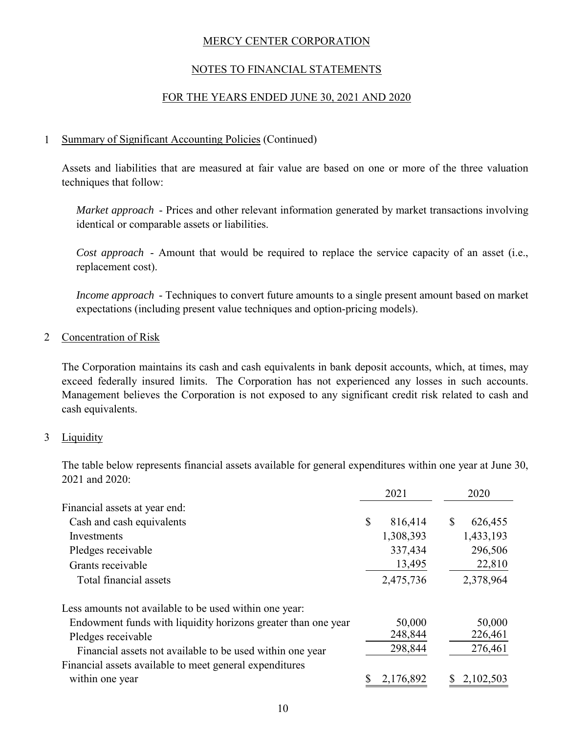#### NOTES TO FINANCIAL STATEMENTS

#### FOR THE YEARS ENDED JUNE 30, 2021 AND 2020

#### 1 Summary of Significant Accounting Policies (Continued)

Assets and liabilities that are measured at fair value are based on one or more of the three valuation techniques that follow:

*Market approach* - Prices and other relevant information generated by market transactions involving identical or comparable assets or liabilities.

*Cost approach* - Amount that would be required to replace the service capacity of an asset (i.e., replacement cost).

*Income approach* - Techniques to convert future amounts to a single present amount based on market expectations (including present value techniques and option-pricing models).

#### 2 Concentration of Risk

The Corporation maintains its cash and cash equivalents in bank deposit accounts, which, at times, may exceed federally insured limits. The Corporation has not experienced any losses in such accounts. Management believes the Corporation is not exposed to any significant credit risk related to cash and cash equivalents.

#### 3 Liquidity

The table below represents financial assets available for general expenditures within one year at June 30, 2021 and 2020:

|                                                               | 2021          | 2020          |
|---------------------------------------------------------------|---------------|---------------|
| Financial assets at year end:                                 |               |               |
| Cash and cash equivalents                                     | \$<br>816,414 | \$<br>626,455 |
| Investments                                                   | 1,308,393     | 1,433,193     |
| Pledges receivable                                            | 337,434       | 296,506       |
| Grants receivable                                             | 13,495        | 22,810        |
| Total financial assets                                        | 2,475,736     | 2,378,964     |
| Less amounts not available to be used within one year:        |               |               |
| Endowment funds with liquidity horizons greater than one year | 50,000        | 50,000        |
| Pledges receivable                                            | 248,844       | 226,461       |
| Financial assets not available to be used within one year     | 298,844       | 276,461       |
| Financial assets available to meet general expenditures       |               |               |
| within one year                                               | 2,176,892     | 2,102,503     |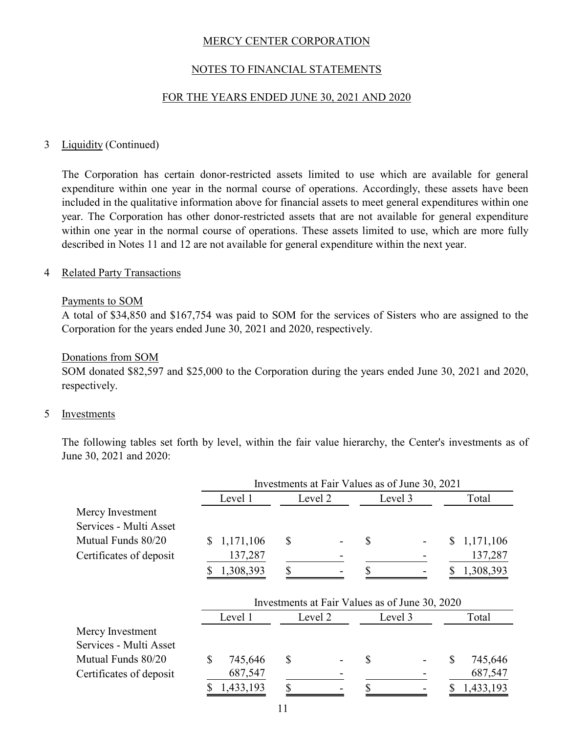#### NOTES TO FINANCIAL STATEMENTS

#### FOR THE YEARS ENDED JUNE 30, 2021 AND 2020

#### 3 Liquidity (Continued)

The Corporation has certain donor-restricted assets limited to use which are available for general expenditure within one year in the normal course of operations. Accordingly, these assets have been included in the qualitative information above for financial assets to meet general expenditures within one year. The Corporation has other donor-restricted assets that are not available for general expenditure within one year in the normal course of operations. These assets limited to use, which are more fully described in Notes 11 and 12 are not available for general expenditure within the next year.

#### 4 Related Party Transactions

#### Payments to SOM

A total of \$34,850 and \$167,754 was paid to SOM for the services of Sisters who are assigned to the Corporation for the years ended June 30, 2021 and 2020, respectively.

#### Donations from SOM

SOM donated \$82,597 and \$25,000 to the Corporation during the years ended June 30, 2021 and 2020, respectively.

#### 5 Investments

The following tables set forth by level, within the fair value hierarchy, the Center's investments as of June 30, 2021 and 2020:

|                         | Investments at Fair Values as of June 30, 2021 |         |                                |         |                 |  |  |  |  |  |
|-------------------------|------------------------------------------------|---------|--------------------------------|---------|-----------------|--|--|--|--|--|
|                         | Level 1                                        | Level 2 |                                | Level 3 | Total           |  |  |  |  |  |
| Mercy Investment        |                                                |         |                                |         |                 |  |  |  |  |  |
| Services - Multi Asset  |                                                |         |                                |         |                 |  |  |  |  |  |
| Mutual Funds 80/20      | 1,171,106<br>S.                                | \$      | \$<br>$\overline{\phantom{a}}$ |         | 1,171,106<br>S. |  |  |  |  |  |
| Certificates of deposit | 137,287                                        |         |                                |         | 137,287         |  |  |  |  |  |
|                         | 1,308,393                                      |         | -                              |         | 1,308,393       |  |  |  |  |  |
|                         |                                                |         |                                |         |                 |  |  |  |  |  |

|                         | Investments at Fair Values as of June 30, 2020 |    |         |   |                          |  |           |  |  |  |
|-------------------------|------------------------------------------------|----|---------|---|--------------------------|--|-----------|--|--|--|
|                         | Level 1                                        |    | Level 2 |   | Level 3                  |  | Total     |  |  |  |
| Mercy Investment        |                                                |    |         |   |                          |  |           |  |  |  |
| Services - Multi Asset  |                                                |    |         |   |                          |  |           |  |  |  |
| Mutual Funds 80/20      | 745,646                                        | \$ | -       | S |                          |  | 745,646   |  |  |  |
| Certificates of deposit | 687,547                                        |    |         |   |                          |  | 687,547   |  |  |  |
|                         | 1,433,193                                      |    | -       |   | $\overline{\phantom{a}}$ |  | 1,433,193 |  |  |  |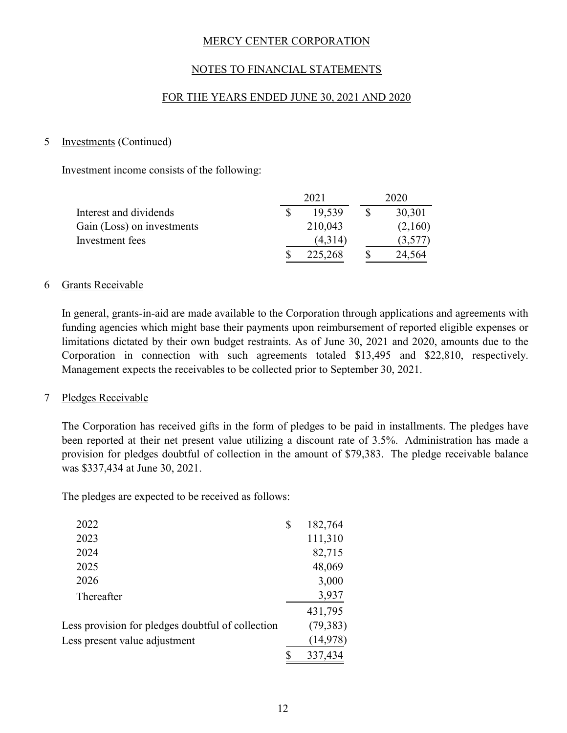#### NOTES TO FINANCIAL STATEMENTS

#### FOR THE YEARS ENDED JUNE 30, 2021 AND 2020

#### 5 Investments (Continued)

Investment income consists of the following:

|                            |  | 2020    |         |
|----------------------------|--|---------|---------|
| Interest and dividends     |  | 19.539  | 30,301  |
| Gain (Loss) on investments |  | 210,043 | (2,160) |
| Investment fees            |  | (4,314) | (3,577) |
|                            |  | 225,268 | 24,564  |

#### 6 Grants Receivable

In general, grants-in-aid are made available to the Corporation through applications and agreements with funding agencies which might base their payments upon reimbursement of reported eligible expenses or limitations dictated by their own budget restraints. As of June 30, 2021 and 2020, amounts due to the Corporation in connection with such agreements totaled \$13,495 and \$22,810, respectively. Management expects the receivables to be collected prior to September 30, 2021.

#### 7 Pledges Receivable

The Corporation has received gifts in the form of pledges to be paid in installments. The pledges have been reported at their net present value utilizing a discount rate of 3.5%. Administration has made a provision for pledges doubtful of collection in the amount of \$79,383. The pledge receivable balance was \$337,434 at June 30, 2021.

The pledges are expected to be received as follows:

| 2022                                              | \$<br>182,764 |
|---------------------------------------------------|---------------|
| 2023                                              | 111,310       |
| 2024                                              | 82,715        |
| 2025                                              | 48,069        |
| 2026                                              | 3,000         |
| Thereafter                                        | 3,937         |
|                                                   | 431,795       |
| Less provision for pledges doubtful of collection | (79, 383)     |
| Less present value adjustment                     | (14, 978)     |
|                                                   | 337,434       |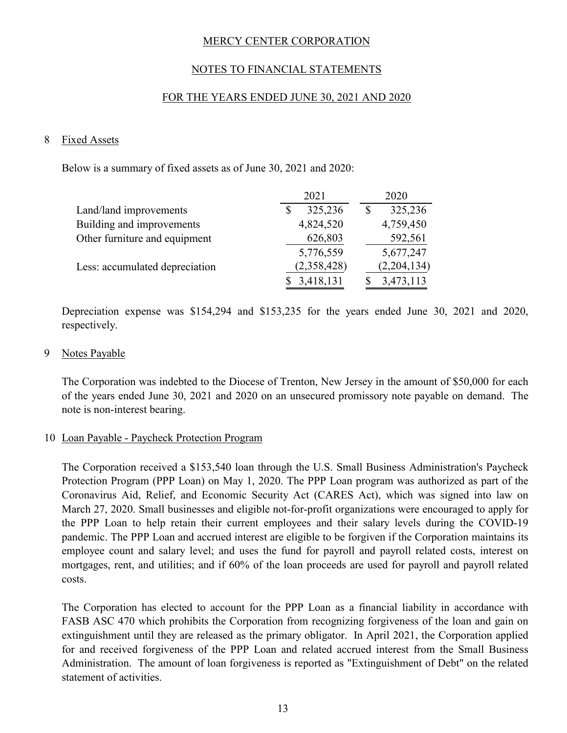#### NOTES TO FINANCIAL STATEMENTS

#### FOR THE YEARS ENDED JUNE 30, 2021 AND 2020

#### 8 Fixed Assets

Below is a summary of fixed assets as of June 30, 2021 and 2020:

|                                | 2021         | 2020        |
|--------------------------------|--------------|-------------|
| Land/land improvements         | 325,236<br>S | 325,236     |
| Building and improvements      | 4,824,520    | 4,759,450   |
| Other furniture and equipment  | 626,803      | 592,561     |
|                                | 5,776,559    | 5,677,247   |
| Less: accumulated depreciation | (2,358,428)  | (2,204,134) |
|                                | 3,418,131    | 3,473,113   |

Depreciation expense was \$154,294 and \$153,235 for the years ended June 30, 2021 and 2020, respectively.

#### 9 Notes Payable

The Corporation was indebted to the Diocese of Trenton, New Jersey in the amount of \$50,000 for each of the years ended June 30, 2021 and 2020 on an unsecured promissory note payable on demand. The note is non-interest bearing.

#### 10 Loan Payable - Paycheck Protection Program

The Corporation received a \$153,540 loan through the U.S. Small Business Administration's Paycheck Protection Program (PPP Loan) on May 1, 2020. The PPP Loan program was authorized as part of the Coronavirus Aid, Relief, and Economic Security Act (CARES Act), which was signed into law on March 27, 2020. Small businesses and eligible not-for-profit organizations were encouraged to apply for the PPP Loan to help retain their current employees and their salary levels during the COVID-19 pandemic. The PPP Loan and accrued interest are eligible to be forgiven if the Corporation maintains its employee count and salary level; and uses the fund for payroll and payroll related costs, interest on mortgages, rent, and utilities; and if 60% of the loan proceeds are used for payroll and payroll related costs.

The Corporation has elected to account for the PPP Loan as a financial liability in accordance with FASB ASC 470 which prohibits the Corporation from recognizing forgiveness of the loan and gain on extinguishment until they are released as the primary obligator. In April 2021, the Corporation applied for and received forgiveness of the PPP Loan and related accrued interest from the Small Business Administration. The amount of loan forgiveness is reported as "Extinguishment of Debt" on the related statement of activities.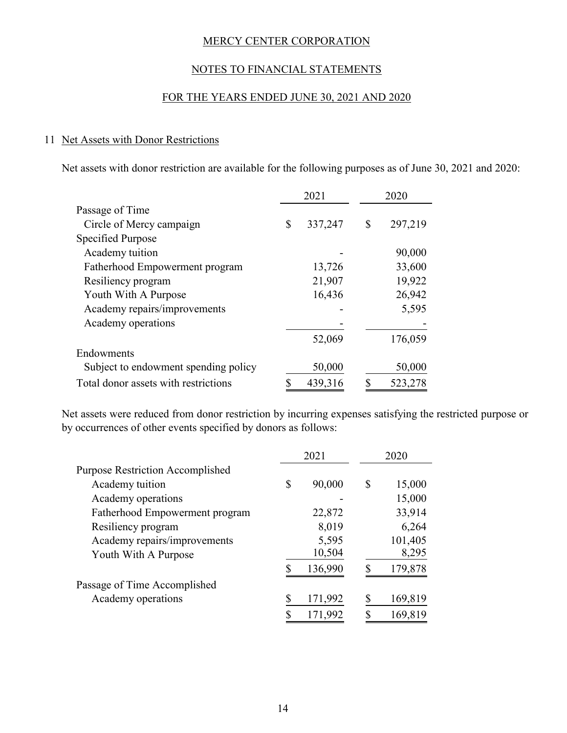#### NOTES TO FINANCIAL STATEMENTS

#### FOR THE YEARS ENDED JUNE 30, 2021 AND 2020

#### 11 Net Assets with Donor Restrictions

Net assets with donor restriction are available for the following purposes as of June 30, 2021 and 2020:

|                                      | 2021 |         | 2020 |         |
|--------------------------------------|------|---------|------|---------|
| Passage of Time                      |      |         |      |         |
| Circle of Mercy campaign             | \$   | 337,247 | \$   | 297,219 |
| Specified Purpose                    |      |         |      |         |
| Academy tuition                      |      |         |      | 90,000  |
| Fatherhood Empowerment program       |      | 13,726  |      | 33,600  |
| Resiliency program                   |      | 21,907  |      | 19,922  |
| Youth With A Purpose                 |      | 16,436  |      | 26,942  |
| Academy repairs/improvements         |      |         |      | 5,595   |
| Academy operations                   |      |         |      |         |
|                                      |      | 52,069  |      | 176,059 |
| Endowments                           |      |         |      |         |
| Subject to endowment spending policy |      | 50,000  |      | 50,000  |
| Total donor assets with restrictions |      | 439,316 |      | 523,278 |

Net assets were reduced from donor restriction by incurring expenses satisfying the restricted purpose or by occurrences of other events specified by donors as follows:

|                                         | 2021 |         | 2020 |         |
|-----------------------------------------|------|---------|------|---------|
| <b>Purpose Restriction Accomplished</b> |      |         |      |         |
| Academy tuition                         | \$   | 90,000  | \$   | 15,000  |
| Academy operations                      |      |         |      | 15,000  |
| Fatherhood Empowerment program          |      | 22,872  |      | 33,914  |
| Resiliency program                      |      | 8,019   |      | 6,264   |
| Academy repairs/improvements            |      | 5,595   |      | 101,405 |
| Youth With A Purpose                    |      | 10,504  |      | 8,295   |
|                                         |      | 136,990 |      | 179,878 |
| Passage of Time Accomplished            |      |         |      |         |
| Academy operations                      | S    | 171,992 | \$   | 169,819 |
|                                         | S    | 171,992 | S    | 169,819 |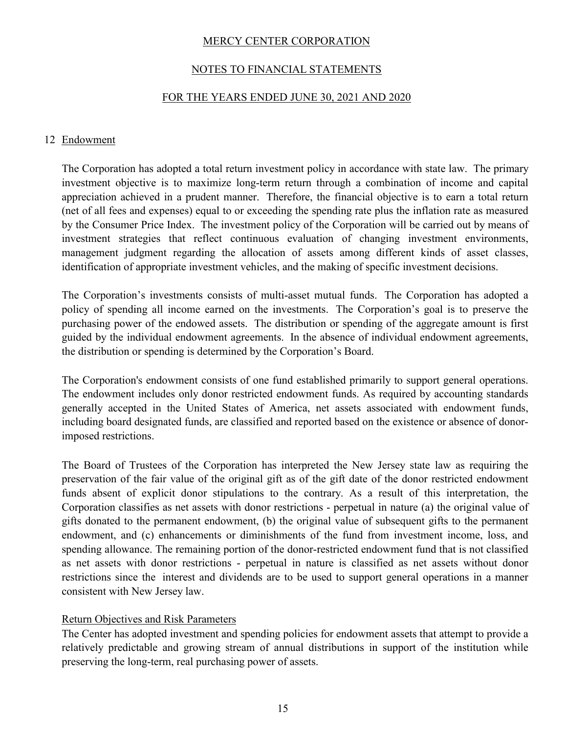#### NOTES TO FINANCIAL STATEMENTS

#### FOR THE YEARS ENDED JUNE 30, 2021 AND 2020

#### 12 Endowment

The Corporation has adopted a total return investment policy in accordance with state law. The primary investment objective is to maximize long-term return through a combination of income and capital appreciation achieved in a prudent manner. Therefore, the financial objective is to earn a total return (net of all fees and expenses) equal to or exceeding the spending rate plus the inflation rate as measured by the Consumer Price Index. The investment policy of the Corporation will be carried out by means of investment strategies that reflect continuous evaluation of changing investment environments, management judgment regarding the allocation of assets among different kinds of asset classes, identification of appropriate investment vehicles, and the making of specific investment decisions.

The Corporation's investments consists of multi-asset mutual funds. The Corporation has adopted a policy of spending all income earned on the investments. The Corporation's goal is to preserve the purchasing power of the endowed assets. The distribution or spending of the aggregate amount is first guided by the individual endowment agreements. In the absence of individual endowment agreements, the distribution or spending is determined by the Corporation's Board.

The Corporation's endowment consists of one fund established primarily to support general operations. The endowment includes only donor restricted endowment funds. As required by accounting standards generally accepted in the United States of America, net assets associated with endowment funds, including board designated funds, are classified and reported based on the existence or absence of donorimposed restrictions.

The Board of Trustees of the Corporation has interpreted the New Jersey state law as requiring the preservation of the fair value of the original gift as of the gift date of the donor restricted endowment funds absent of explicit donor stipulations to the contrary. As a result of this interpretation, the Corporation classifies as net assets with donor restrictions - perpetual in nature (a) the original value of gifts donated to the permanent endowment, (b) the original value of subsequent gifts to the permanent endowment, and (c) enhancements or diminishments of the fund from investment income, loss, and spending allowance. The remaining portion of the donor-restricted endowment fund that is not classified as net assets with donor restrictions - perpetual in nature is classified as net assets without donor restrictions since the interest and dividends are to be used to support general operations in a manner consistent with New Jersey law.

#### Return Objectives and Risk Parameters

The Center has adopted investment and spending policies for endowment assets that attempt to provide a relatively predictable and growing stream of annual distributions in support of the institution while preserving the long-term, real purchasing power of assets.